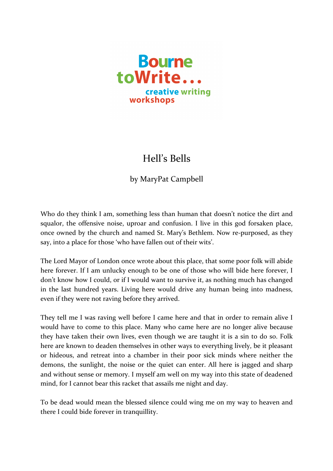

## Hell's Bells

by MaryPat Campbell

Who do they think I am, something less than human that doesn't notice the dirt and squalor, the offensive noise, uproar and confusion. I live in this god forsaken place, once owned by the church and named St. Mary's Bethlem. Now re-purposed, as they say, into a place for those 'who have fallen out of their wits'.

The Lord Mayor of London once wrote about this place, that some poor folk will abide here forever. If I am unlucky enough to be one of those who will bide here forever, I don't know how I could, or if I would want to survive it, as nothing much has changed in the last hundred years. Living here would drive any human being into madness, even if they were not raving before they arrived.

They tell me I was raving well before I came here and that in order to remain alive I would have to come to this place. Many who came here are no longer alive because they have taken their own lives, even though we are taught it is a sin to do so. Folk here are known to deaden themselves in other ways to everything lively, be it pleasant or hideous, and retreat into a chamber in their poor sick minds where neither the demons, the sunlight, the noise or the quiet can enter. All here is jagged and sharp and without sense or memory. I myself am well on my way into this state of deadened mind, for I cannot bear this racket that assails me night and day.

To be dead would mean the blessed silence could wing me on my way to heaven and there I could bide forever in tranquillity.